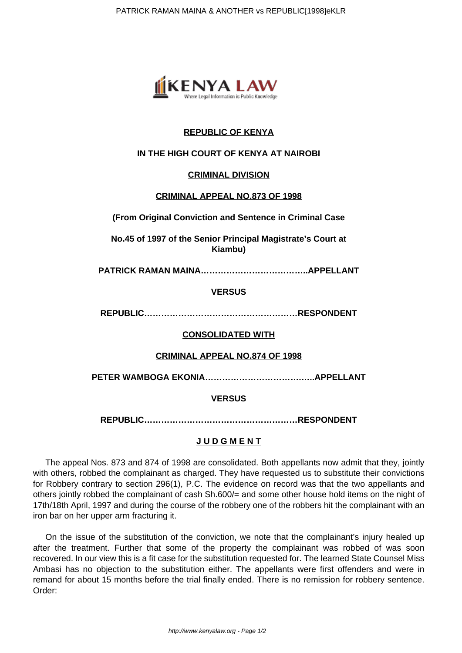

# **REPUBLIC OF KENYA**

## **IN THE HIGH COURT OF KENYA AT NAIROBI**

### **CRIMINAL DIVISION**

### **CRIMINAL APPEAL NO.873 OF 1998**

**(From Original Conviction and Sentence in Criminal Case**

**No.45 of 1997 of the Senior Principal Magistrate's Court at Kiambu)**

**PATRICK RAMAN MAINA………………………………..APPELLANT**

### **VERSUS**

**REPUBLIC………………………………………………RESPONDENT**

#### **CONSOLIDATED WITH**

#### **CRIMINAL APPEAL NO.874 OF 1998**

**PETER WAMBOGA EKONIA…………………………….…..APPELLANT**

### **VERSUS**

**REPUBLIC………………………………………………RESPONDENT**

#### **J U D G M E N T**

The appeal Nos. 873 and 874 of 1998 are consolidated. Both appellants now admit that they, jointly with others, robbed the complainant as charged. They have requested us to substitute their convictions for Robbery contrary to section 296(1), P.C. The evidence on record was that the two appellants and others jointly robbed the complainant of cash Sh.600/= and some other house hold items on the night of 17th/18th April, 1997 and during the course of the robbery one of the robbers hit the complainant with an iron bar on her upper arm fracturing it.

On the issue of the substitution of the conviction, we note that the complainant's injury healed up after the treatment. Further that some of the property the complainant was robbed of was soon recovered. In our view this is a fit case for the substitution requested for. The learned State Counsel Miss Ambasi has no objection to the substitution either. The appellants were first offenders and were in remand for about 15 months before the trial finally ended. There is no remission for robbery sentence. Order: